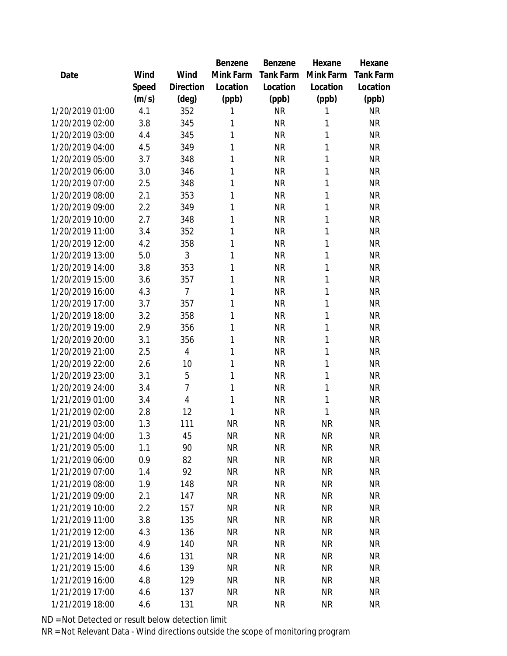|                 |       |                | Benzene   | <b>Benzene</b> | Hexane    | Hexane           |
|-----------------|-------|----------------|-----------|----------------|-----------|------------------|
| Date            | Wind  | Wind           | Mink Farm | Tank Farm      | Mink Farm | <b>Tank Farm</b> |
|                 | Speed | Direction      | Location  | Location       | Location  | Location         |
|                 | (m/s) | (deg)          | (ppb)     | (ppb)          | (ppb)     | (ppb)            |
| 1/20/2019 01:00 | 4.1   | 352            | 1         | <b>NR</b>      | 1         | <b>NR</b>        |
| 1/20/2019 02:00 | 3.8   | 345            | 1         | <b>NR</b>      | 1         | <b>NR</b>        |
| 1/20/2019 03:00 | 4.4   | 345            | 1         | <b>NR</b>      | 1         | <b>NR</b>        |
| 1/20/2019 04:00 | 4.5   | 349            | 1         | <b>NR</b>      | 1         | <b>NR</b>        |
| 1/20/2019 05:00 | 3.7   | 348            | 1         | <b>NR</b>      | 1         | <b>NR</b>        |
| 1/20/2019 06:00 | 3.0   | 346            | 1         | <b>NR</b>      | 1         | <b>NR</b>        |
| 1/20/2019 07:00 | 2.5   | 348            | 1         | <b>NR</b>      | 1         | <b>NR</b>        |
| 1/20/2019 08:00 | 2.1   | 353            | 1         | <b>NR</b>      | 1         | <b>NR</b>        |
| 1/20/2019 09:00 | 2.2   | 349            | 1         | <b>NR</b>      | 1         | <b>NR</b>        |
| 1/20/2019 10:00 | 2.7   | 348            | 1         | <b>NR</b>      | 1         | <b>NR</b>        |
| 1/20/2019 11:00 | 3.4   | 352            | 1         | <b>NR</b>      | 1         | <b>NR</b>        |
| 1/20/2019 12:00 | 4.2   | 358            | 1         | <b>NR</b>      | 1         | <b>NR</b>        |
| 1/20/2019 13:00 | 5.0   | 3              | 1         | <b>NR</b>      | 1         | <b>NR</b>        |
| 1/20/2019 14:00 | 3.8   | 353            | 1         | <b>NR</b>      | 1         | <b>NR</b>        |
| 1/20/2019 15:00 | 3.6   | 357            | 1         | <b>NR</b>      | 1         | <b>NR</b>        |
| 1/20/2019 16:00 | 4.3   | $\overline{7}$ | 1         | <b>NR</b>      | 1         | <b>NR</b>        |
| 1/20/2019 17:00 | 3.7   | 357            | 1         | <b>NR</b>      | 1         | <b>NR</b>        |
| 1/20/2019 18:00 | 3.2   | 358            | 1         | <b>NR</b>      | 1         | <b>NR</b>        |
| 1/20/2019 19:00 | 2.9   | 356            | 1         | <b>NR</b>      | 1         | <b>NR</b>        |
| 1/20/2019 20:00 | 3.1   | 356            | 1         | <b>NR</b>      | 1         | ΝR               |
| 1/20/2019 21:00 | 2.5   | $\overline{4}$ | 1         | <b>NR</b>      | 1         | <b>NR</b>        |
| 1/20/2019 22:00 | 2.6   | 10             | 1         | <b>NR</b>      | 1         | <b>NR</b>        |
| 1/20/2019 23:00 | 3.1   | 5              | 1         | <b>NR</b>      | 1         | <b>NR</b>        |
| 1/20/2019 24:00 | 3.4   | 7              | 1         | <b>NR</b>      | 1         | <b>NR</b>        |
| 1/21/2019 01:00 | 3.4   | 4              | 1         | <b>NR</b>      | 1         | <b>NR</b>        |
| 1/21/2019 02:00 | 2.8   | 12             | 1         | <b>NR</b>      | 1         | <b>NR</b>        |
| 1/21/2019 03:00 | 1.3   | 111            | <b>NR</b> | <b>NR</b>      | <b>NR</b> | <b>NR</b>        |
| 1/21/2019 04:00 | 1.3   | 45             | <b>NR</b> | <b>NR</b>      | <b>NR</b> | <b>NR</b>        |
| 1/21/2019 05:00 | 1.1   | 90             | <b>NR</b> | <b>NR</b>      | <b>NR</b> | <b>NR</b>        |
| 1/21/2019 06:00 | 0.9   | 82             | <b>NR</b> | <b>NR</b>      | <b>NR</b> | <b>NR</b>        |
| 1/21/2019 07:00 | 1.4   | 92             | <b>NR</b> | <b>NR</b>      | <b>NR</b> | <b>NR</b>        |
| 1/21/2019 08:00 | 1.9   | 148            | <b>NR</b> | NR             | <b>NR</b> | <b>NR</b>        |
| 1/21/2019 09:00 | 2.1   | 147            | <b>NR</b> | NR             | <b>NR</b> | <b>NR</b>        |
| 1/21/2019 10:00 | 2.2   | 157            | <b>NR</b> | <b>NR</b>      | <b>NR</b> | <b>NR</b>        |
| 1/21/2019 11:00 | 3.8   | 135            | <b>NR</b> | NR             | <b>NR</b> | <b>NR</b>        |
| 1/21/2019 12:00 | 4.3   | 136            | <b>NR</b> | <b>NR</b>      | <b>NR</b> | <b>NR</b>        |
| 1/21/2019 13:00 | 4.9   | 140            | <b>NR</b> | NR             | <b>NR</b> | <b>NR</b>        |
| 1/21/2019 14:00 | 4.6   | 131            | <b>NR</b> | <b>NR</b>      | <b>NR</b> | <b>NR</b>        |
| 1/21/2019 15:00 | 4.6   | 139            | <b>NR</b> | <b>NR</b>      | <b>NR</b> | <b>NR</b>        |
| 1/21/2019 16:00 | 4.8   | 129            | <b>NR</b> | NR             | <b>NR</b> | <b>NR</b>        |
| 1/21/2019 17:00 | 4.6   | 137            | <b>NR</b> | <b>NR</b>      | <b>NR</b> | <b>NR</b>        |
| 1/21/2019 18:00 | 4.6   | 131            | <b>NR</b> | <b>NR</b>      | <b>NR</b> | <b>NR</b>        |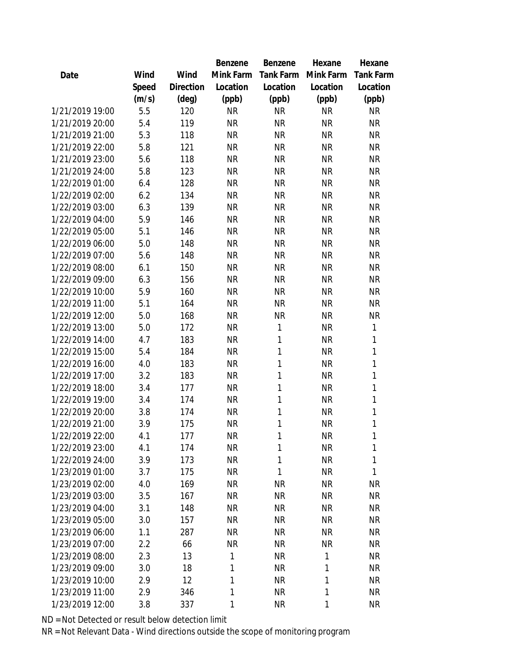|                 |       |                | Benzene   | Benzene   | Hexane       | Hexane      |
|-----------------|-------|----------------|-----------|-----------|--------------|-------------|
| Date            | Wind  | Wind           | Mink Farm | Tank Farm | Mink Farm    | Tank Farm   |
|                 | Speed | Direction      | Location  | Location  | Location     | Location    |
|                 | (m/s) | $(\text{deg})$ | (ppb)     | (ppb)     | (ppb)        | (ppb)       |
| 1/21/2019 19:00 | 5.5   | 120            | <b>NR</b> | <b>NR</b> | <b>NR</b>    | <b>NR</b>   |
| 1/21/2019 20:00 | 5.4   | 119            | <b>NR</b> | <b>NR</b> | <b>NR</b>    | <b>NR</b>   |
| 1/21/2019 21:00 | 5.3   | 118            | <b>NR</b> | <b>NR</b> | <b>NR</b>    | <b>NR</b>   |
| 1/21/2019 22:00 | 5.8   | 121            | <b>NR</b> | <b>NR</b> | <b>NR</b>    | <b>NR</b>   |
| 1/21/2019 23:00 | 5.6   | 118            | <b>NR</b> | <b>NR</b> | <b>NR</b>    | <b>NR</b>   |
| 1/21/2019 24:00 | 5.8   | 123            | <b>NR</b> | <b>NR</b> | <b>NR</b>    | <b>NR</b>   |
| 1/22/2019 01:00 | 6.4   | 128            | <b>NR</b> | <b>NR</b> | <b>NR</b>    | <b>NR</b>   |
| 1/22/2019 02:00 | 6.2   | 134            | <b>NR</b> | <b>NR</b> | <b>NR</b>    | <b>NR</b>   |
| 1/22/2019 03:00 | 6.3   | 139            | <b>NR</b> | <b>NR</b> | <b>NR</b>    | <b>NR</b>   |
| 1/22/2019 04:00 | 5.9   | 146            | <b>NR</b> | <b>NR</b> | <b>NR</b>    | <b>NR</b>   |
| 1/22/2019 05:00 | 5.1   | 146            | <b>NR</b> | <b>NR</b> | <b>NR</b>    | <b>NR</b>   |
| 1/22/2019 06:00 | 5.0   | 148            | <b>NR</b> | <b>NR</b> | <b>NR</b>    | <b>NR</b>   |
| 1/22/2019 07:00 | 5.6   | 148            | <b>NR</b> | <b>NR</b> | <b>NR</b>    | <b>NR</b>   |
| 1/22/2019 08:00 | 6.1   | 150            | <b>NR</b> | <b>NR</b> | <b>NR</b>    | <b>NR</b>   |
| 1/22/2019 09:00 | 6.3   | 156            | <b>NR</b> | <b>NR</b> | <b>NR</b>    | <b>NR</b>   |
| 1/22/2019 10:00 | 5.9   | 160            | <b>NR</b> | <b>NR</b> | <b>NR</b>    | <b>NR</b>   |
| 1/22/2019 11:00 | 5.1   | 164            | <b>NR</b> | <b>NR</b> | <b>NR</b>    | <b>NR</b>   |
| 1/22/2019 12:00 | 5.0   | 168            | <b>NR</b> | <b>NR</b> | <b>NR</b>    | <b>NR</b>   |
| 1/22/2019 13:00 | 5.0   | 172            | <b>NR</b> | 1         | <b>NR</b>    | 1           |
| 1/22/2019 14:00 | 4.7   | 183            | <b>NR</b> | 1         | <b>NR</b>    | 1           |
| 1/22/2019 15:00 | 5.4   | 184            | <b>NR</b> | 1         | <b>NR</b>    | 1           |
| 1/22/2019 16:00 | 4.0   | 183            | <b>NR</b> | 1         | <b>NR</b>    | 1           |
| 1/22/2019 17:00 | 3.2   | 183            | <b>NR</b> | 1         | <b>NR</b>    | 1           |
| 1/22/2019 18:00 | 3.4   | 177            | <b>NR</b> | 1         | <b>NR</b>    | $\mathbf 1$ |
| 1/22/2019 19:00 | 3.4   | 174            | <b>NR</b> | 1         | <b>NR</b>    | 1           |
| 1/22/2019 20:00 | 3.8   | 174            | <b>NR</b> | 1         | <b>NR</b>    | 1           |
| 1/22/2019 21:00 | 3.9   | 175            | <b>NR</b> | 1         | <b>NR</b>    | 1           |
| 1/22/2019 22:00 | 4.1   | 177            | <b>NR</b> | 1         | <b>NR</b>    | 1           |
| 1/22/2019 23:00 | 4.1   | 174            | <b>NR</b> | 1         | <b>NR</b>    | 1           |
| 1/22/2019 24:00 | 3.9   | 173            | <b>NR</b> | 1         | <b>NR</b>    | 1           |
| 1/23/2019 01:00 | 3.7   | 175            | <b>NR</b> | 1         | <b>NR</b>    | 1           |
| 1/23/2019 02:00 | 4.0   | 169            | <b>NR</b> | <b>NR</b> | <b>NR</b>    | <b>NR</b>   |
| 1/23/2019 03:00 | 3.5   | 167            | <b>NR</b> | <b>NR</b> | <b>NR</b>    | <b>NR</b>   |
| 1/23/2019 04:00 | 3.1   | 148            | <b>NR</b> | <b>NR</b> | <b>NR</b>    | <b>NR</b>   |
| 1/23/2019 05:00 | 3.0   | 157            | <b>NR</b> | <b>NR</b> | <b>NR</b>    | <b>NR</b>   |
| 1/23/2019 06:00 | 1.1   | 287            | <b>NR</b> | <b>NR</b> | <b>NR</b>    | <b>NR</b>   |
| 1/23/2019 07:00 | 2.2   | 66             | <b>NR</b> | <b>NR</b> | <b>NR</b>    | <b>NR</b>   |
| 1/23/2019 08:00 | 2.3   | 13             | 1         | <b>NR</b> | $\mathbf{1}$ | <b>NR</b>   |
| 1/23/2019 09:00 | 3.0   | 18             | 1         | <b>NR</b> | 1            | <b>NR</b>   |
| 1/23/2019 10:00 | 2.9   | 12             | 1         | <b>NR</b> | 1            | <b>NR</b>   |
| 1/23/2019 11:00 | 2.9   | 346            | 1         | <b>NR</b> | $\mathbf{1}$ | <b>NR</b>   |
| 1/23/2019 12:00 | 3.8   | 337            | 1         | <b>NR</b> | $\mathbf{1}$ | <b>NR</b>   |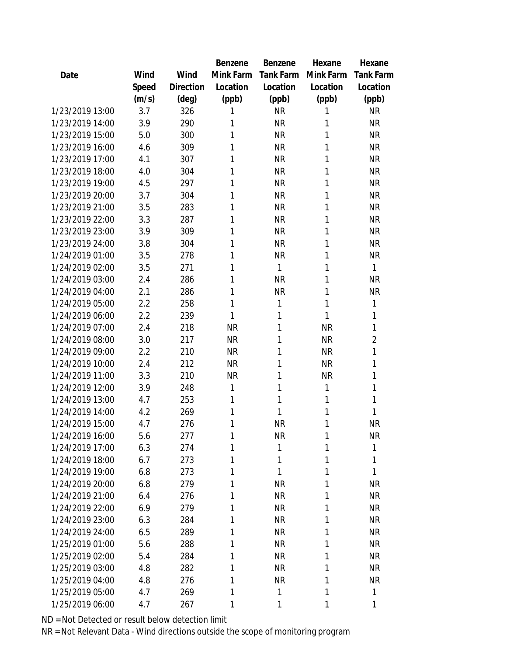|                 |       |           | Benzene   | Benzene   | Hexane    | Hexane           |
|-----------------|-------|-----------|-----------|-----------|-----------|------------------|
| Date            | Wind  | Wind      | Mink Farm | Tank Farm | Mink Farm | <b>Tank Farm</b> |
|                 | Speed | Direction | Location  | Location  | Location  | Location         |
|                 | (m/s) | (deg)     | (ppb)     | (ppb)     | (ppb)     | (ppb)            |
| 1/23/2019 13:00 | 3.7   | 326       | 1         | <b>NR</b> | 1         | <b>NR</b>        |
| 1/23/2019 14:00 | 3.9   | 290       | 1         | <b>NR</b> | 1         | <b>NR</b>        |
| 1/23/2019 15:00 | 5.0   | 300       | 1         | <b>NR</b> | 1         | <b>NR</b>        |
| 1/23/2019 16:00 | 4.6   | 309       | 1         | <b>NR</b> | 1         | <b>NR</b>        |
| 1/23/2019 17:00 | 4.1   | 307       | 1         | <b>NR</b> | 1         | <b>NR</b>        |
| 1/23/2019 18:00 | 4.0   | 304       | 1         | <b>NR</b> | 1         | <b>NR</b>        |
| 1/23/2019 19:00 | 4.5   | 297       | 1         | <b>NR</b> | 1         | <b>NR</b>        |
| 1/23/2019 20:00 | 3.7   | 304       | 1         | <b>NR</b> | 1         | <b>NR</b>        |
| 1/23/2019 21:00 | 3.5   | 283       | 1         | <b>NR</b> | 1         | <b>NR</b>        |
| 1/23/2019 22:00 | 3.3   | 287       | 1         | <b>NR</b> | 1         | <b>NR</b>        |
| 1/23/2019 23:00 | 3.9   | 309       | 1         | <b>NR</b> | 1         | <b>NR</b>        |
| 1/23/2019 24:00 | 3.8   | 304       | 1         | <b>NR</b> | 1         | <b>NR</b>        |
| 1/24/2019 01:00 | 3.5   | 278       | 1         | <b>NR</b> | 1         | <b>NR</b>        |
| 1/24/2019 02:00 | 3.5   | 271       | 1         | 1         | 1         | 1                |
| 1/24/2019 03:00 | 2.4   | 286       | 1         | <b>NR</b> | 1         | <b>NR</b>        |
| 1/24/2019 04:00 | 2.1   | 286       | 1         | <b>NR</b> | 1         | <b>NR</b>        |
| 1/24/2019 05:00 | 2.2   | 258       | 1         | 1         | 1         | 1                |
| 1/24/2019 06:00 | 2.2   | 239       | 1         | 1         | 1         | 1                |
| 1/24/2019 07:00 | 2.4   | 218       | <b>NR</b> | 1         | <b>NR</b> | 1                |
| 1/24/2019 08:00 | 3.0   | 217       | <b>NR</b> | 1         | <b>NR</b> | $\overline{2}$   |
| 1/24/2019 09:00 | 2.2   | 210       | <b>NR</b> | 1         | <b>NR</b> | 1                |
| 1/24/2019 10:00 | 2.4   | 212       | <b>NR</b> | 1         | <b>NR</b> | 1                |
| 1/24/2019 11:00 | 3.3   | 210       | <b>NR</b> | 1         | <b>NR</b> | 1                |
| 1/24/2019 12:00 | 3.9   | 248       | 1         | 1         | 1         | 1                |
| 1/24/2019 13:00 | 4.7   | 253       | 1         | 1         | 1         | 1                |
| 1/24/2019 14:00 | 4.2   | 269       | 1         | 1         | 1         | 1                |
| 1/24/2019 15:00 | 4.7   | 276       | 1         | <b>NR</b> | 1         | <b>NR</b>        |
| 1/24/2019 16:00 | 5.6   | 277       | 1         | <b>NR</b> | 1         | <b>NR</b>        |
| 1/24/2019 17:00 | 6.3   | 274       | 1         | 1         | 1         | 1                |
| 1/24/2019 18:00 | 6.7   | 273       | 1         | 1         | 1         | 1                |
| 1/24/2019 19:00 | 6.8   | 273       | 1         | 1         | 1         | 1                |
| 1/24/2019 20:00 | 6.8   | 279       | 1         | <b>NR</b> | 1         | <b>NR</b>        |
| 1/24/2019 21:00 | 6.4   | 276       | 1         | <b>NR</b> | 1         | <b>NR</b>        |
| 1/24/2019 22:00 | 6.9   | 279       | 1         | <b>NR</b> | 1         | <b>NR</b>        |
| 1/24/2019 23:00 | 6.3   | 284       | 1         | <b>NR</b> | 1         | <b>NR</b>        |
| 1/24/2019 24:00 | 6.5   | 289       | 1         | <b>NR</b> | 1         | <b>NR</b>        |
| 1/25/2019 01:00 | 5.6   | 288       | 1         | <b>NR</b> | 1         | <b>NR</b>        |
| 1/25/2019 02:00 | 5.4   | 284       | 1         | <b>NR</b> | 1         | <b>NR</b>        |
| 1/25/2019 03:00 | 4.8   | 282       | 1         | <b>NR</b> | 1         | <b>NR</b>        |
| 1/25/2019 04:00 | 4.8   | 276       | 1         | <b>NR</b> | 1         | <b>NR</b>        |
| 1/25/2019 05:00 | 4.7   | 269       | 1         | 1         | 1         | 1                |
| 1/25/2019 06:00 | 4.7   | 267       | 1         | 1         | 1         | 1                |